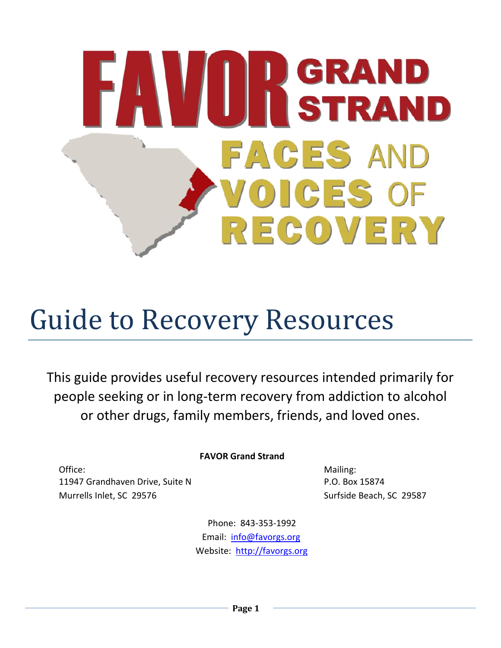# **WEIGERAND<br>AND STRAND FACES AND** OICES OF REGOVERY

# Guide to Recovery Resources

This guide provides useful recovery resources intended primarily for people seeking or in long-term recovery from addiction to alcohol or other drugs, family members, friends, and loved ones.

# **FAVOR Grand Strand**

Office: Mailing: The Mailing: The Mailing: The Mailing: The Mailing: The Mailing: 11947 Grandhaven Drive, Suite N and Solid Book 15874 Murrells Inlet, SC 29576 Surfside Beach, SC 29587

Phone: 843-353-1992 Email: [info@favorgs.org](mailto:info@favorgs.org) Website: [http://favorgs.org](http://favorgs.org/)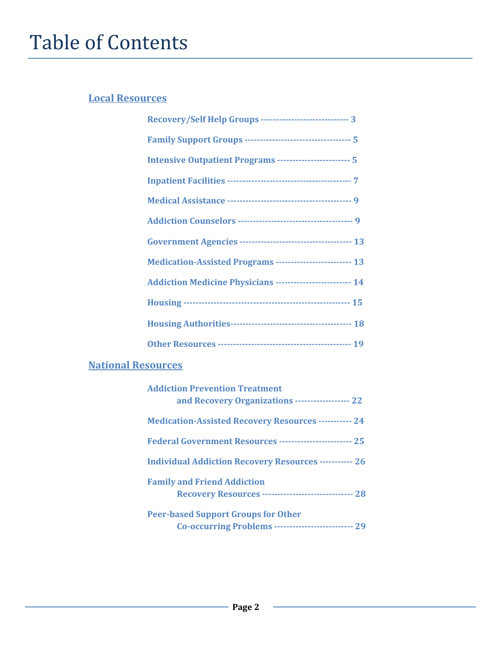# Table of Contents

# **Local Resources**

| Recovery/Self Help Groups ------------------------------ 3         |
|--------------------------------------------------------------------|
| <b>Family Support Groups ----------------------------------- 5</b> |
| Intensive Outpatient Programs ------------------------- 5          |
|                                                                    |
|                                                                    |
|                                                                    |
|                                                                    |
| Medication-Assisted Programs ------------------------- 13          |
| <b>Addiction Medicine Physicians ------------------------ 14</b>   |
|                                                                    |
|                                                                    |
|                                                                    |

# **National Resources**

| <b>Addiction Prevention Treatment</b><br>and Recovery Organizations ------------------ 22         |
|---------------------------------------------------------------------------------------------------|
| <b>Medication-Assisted Recovery Resources ----------- 24</b>                                      |
| Federal Government Resources ------------------------- 25                                         |
| <b>Individual Addiction Recovery Resources ----------- 26</b>                                     |
| <b>Family and Friend Addiction</b><br><b>Recovery Resources ----------------------------- 28</b>  |
| <b>Peer-based Support Groups for Other</b><br>Co-occurring Problems -------------------------- 29 |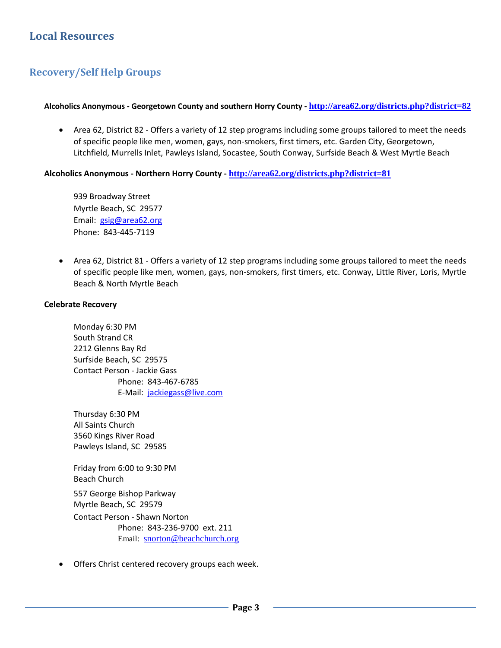# **Local Resources**

# **Recovery/Self Help Groups**

#### **Alcoholics Anonymous - Georgetown County and southern Horry County - <http://area62.org/districts.php?district=82>**

 Area 62, District 82 - Offers a variety of 12 step programs including some groups tailored to meet the needs of specific people like men, women, gays, non-smokers, first timers, etc. Garden City, Georgetown, Litchfield, Murrells Inlet, Pawleys Island, Socastee, South Conway, Surfside Beach & West Myrtle Beach

#### **Alcoholics Anonymous - Northern Horry County - <http://area62.org/districts.php?district=81>**

939 Broadway Street Myrtle Beach, SC 29577 Email: [gsig@area62.org](mailto:gsig@area62.org) Phone: 843-445-7119

 Area 62, District 81 - Offers a variety of 12 step programs including some groups tailored to meet the needs of specific people like men, women, gays, non-smokers, first timers, etc. Conway, Little River, Loris, Myrtle Beach & North Myrtle Beach

#### **Celebrate Recovery**

Monday 6:30 PM South Strand CR 2212 Glenns Bay Rd Surfside Beach, SC 29575 Contact Person - Jackie Gass Phone: 843-467-6785 E-Mail: [jackiegass@live.com](mailto:jackiegass@live.com)

Thursday 6:30 PM All Saints Church 3560 Kings River Road Pawleys Island, SC 29585

Friday from 6:00 to 9:30 PM Beach Church 557 George Bishop Parkway Myrtle Beach, SC 29579 Contact Person - Shawn Norton Phone: 843-236-9700 ext. 211 Email: [snorton@beachchurch.org](mailto:snorton@beachchurch.org)

Offers Christ centered recovery groups each week.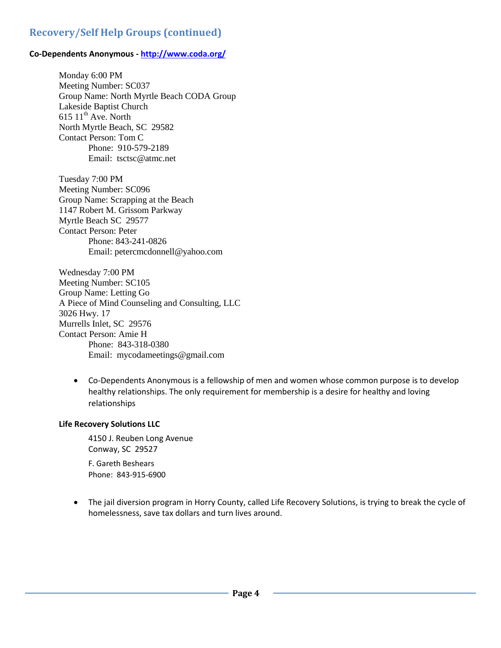# **Recovery/Self Help Groups (continued)**

#### **Co-Dependents Anonymous - http://www.coda.org/**

Monday 6:00 PM Meeting Number: SC037 Group Name: North Myrtle Beach CODA Group Lakeside Baptist Church  $615$   $11^{\text{th}}$  Ave. North North Myrtle Beach, SC 29582 Contact Person: Tom C Phone: 910-579-2189 Email: tsctsc@atmc.net

Tuesday 7:00 PM Meeting Number: SC096 Group Name: Scrapping at the Beach 1147 Robert M. Grissom Parkway Myrtle Beach SC 29577 Contact Person: Peter Phone: 843-241-0826 Email: petercmcdonnell@yahoo.com

Wednesday 7:00 PM Meeting Number: SC105 Group Name: Letting Go A Piece of Mind Counseling and Consulting, LLC 3026 Hwy. 17 Murrells Inlet, SC 29576 Contact Person: Amie H Phone: 843-318-0380 Email: mycodameetings@gmail.com

 Co-Dependents Anonymous is a fellowship of men and women whose common purpose is to develop healthy relationships. The only requirement for membership is a desire for healthy and loving relationships

#### **Life Recovery Solutions LLC**

4150 J. Reuben Long Avenue Conway, SC 29527

F. Gareth Beshears Phone: 843-915-6900

 The jail diversion program in Horry County, called Life Recovery Solutions, is trying to break the cycle of homelessness, save tax dollars and turn lives around.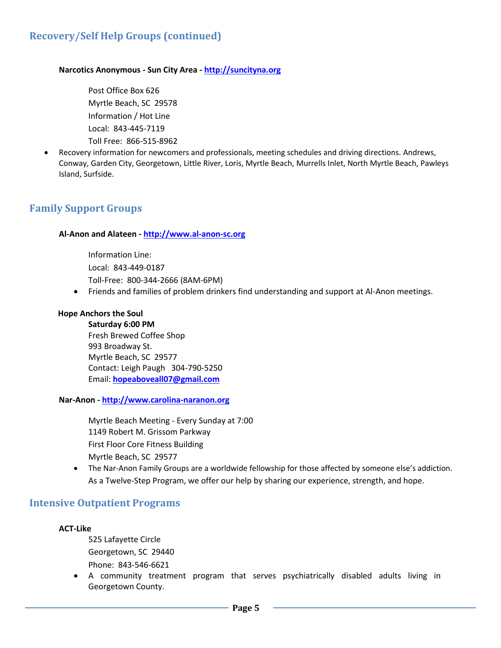# **Recovery/Self Help Groups (continued)**

#### **Narcotics Anonymous - Sun City Area - [http://suncityna.org](http://suncityna.org/)**

Post Office Box 626 Myrtle Beach, SC 29578 Information / Hot Line Local: 843-445-7119 Toll Free: 866-515-8962

 Recovery information for newcomers and professionals, meeting schedules and driving directions. Andrews, Conway, Garden City, Georgetown, Little River, Loris, Myrtle Beach, Murrells Inlet, North Myrtle Beach, Pawleys Island, Surfside.

# **Family Support Groups**

#### **Al-Anon and Alateen - [http://www.al-anon-sc.org](http://www.al-anon-sc.org/)**

Information Line: Local: 843-449-0187 Toll-Free: 800-344-2666 (8AM-6PM)

Friends and families of problem drinkers find understanding and support at Al-Anon meetings.

#### **Hope Anchors the Soul**

**Saturday 6:00 PM**  Fresh Brewed Coffee Shop 993 Broadway St. Myrtle Beach, SC 29577 Contact: Leigh Paugh 304-790-5250 Email: **<hopeaboveall07@gmail.com>**

**Nar-Anon - [http://www.carolina-naranon.org](http://www.carolina-naranon.org/)**

Myrtle Beach Meeting - Every Sunday at 7:00 1149 Robert M. Grissom Parkway First Floor Core Fitness Building Myrtle Beach, SC 29577

 The Nar-Anon Family Groups are a worldwide fellowship for those affected by someone else's addiction. As a Twelve-Step Program, we offer our help by sharing our experience, strength, and hope.

#### **Intensive Outpatient Programs**

#### **ACT-Like**

525 Lafayette Circle Georgetown, SC 29440 Phone: 843-546-6621

 A community treatment program that serves psychiatrically disabled adults living in Georgetown County.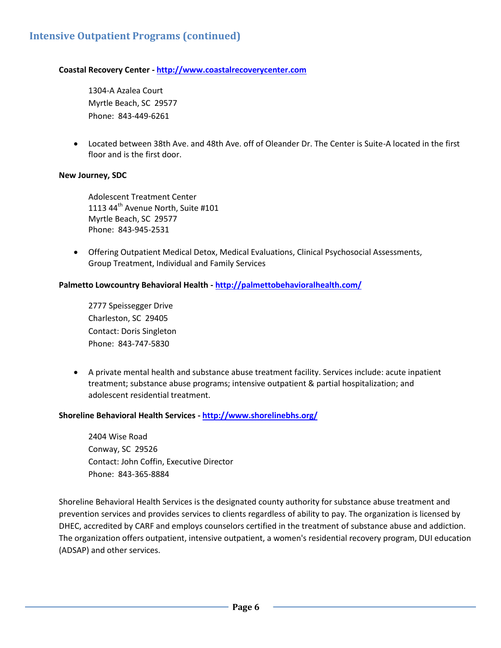#### **Coastal Recovery Center - [http://www.coastalrecoverycenter.com](http://www.coastalrecoverycenter.com/)**

1304-A Azalea Court Myrtle Beach, SC 29577 Phone: 843-449-6261

 Located between 38th Ave. and 48th Ave. off of Oleander Dr. The Center is Suite-A located in the first floor and is the first door.

#### **New Journey, SDC**

Adolescent Treatment Center 1113 44<sup>th</sup> Avenue North, Suite #101 Myrtle Beach, SC 29577 Phone: 843-945-2531

 Offering Outpatient Medical Detox, Medical Evaluations, Clinical Psychosocial Assessments, Group Treatment, Individual and Family Services

#### **Palmetto Lowcountry Behavioral Health - <http://palmettobehavioralhealth.com/>**

2777 Speissegger Drive Charleston, SC 29405 Contact: Doris Singleton Phone: 843-747-5830

 A private mental health and substance abuse treatment facility. Services include: acute inpatient treatment; substance abuse programs; intensive outpatient & partial hospitalization; and adolescent residential treatment.

#### **Shoreline Behavioral Health Services - <http://www.shorelinebhs.org/>**

2404 Wise Road Conway, SC 29526 Contact: John Coffin, Executive Director Phone: 843-365-8884

Shoreline Behavioral Health Services is the designated county authority for substance abuse treatment and prevention services and provides services to clients regardless of ability to pay. The organization is licensed by DHEC, accredited by CARF and employs counselors certified in the treatment of substance abuse and addiction. The organization offers outpatient, intensive outpatient, a women's residential recovery program, DUI education (ADSAP) and other services.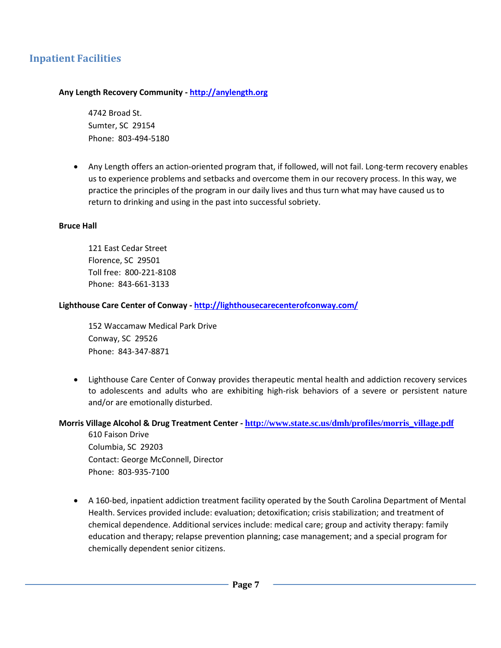# **Inpatient Facilities**

#### **Any Length Recovery Community - [http://anylength.org](http://anylength.org/)**

4742 Broad St. Sumter, SC 29154 Phone: 803-494-5180

 Any Length offers an action-oriented program that, if followed, will not fail. Long-term recovery enables us to experience problems and setbacks and overcome them in our recovery process. In this way, we practice the principles of the program in our daily lives and thus turn what may have caused us to return to drinking and using in the past into successful sobriety.

#### **Bruce Hall**

121 East Cedar Street Florence, SC 29501 Toll free: 800-221-8108 Phone: 843-661-3133

#### **Lighthouse Care Center of Conway - <http://lighthousecarecenterofconway.com/>**

152 Waccamaw Medical Park Drive Conway, SC 29526 Phone: 843-347-8871

 Lighthouse Care Center of Conway provides therapeutic mental health and addiction recovery services to adolescents and adults who are exhibiting high-risk behaviors of a severe or persistent nature and/or are emotionally disturbed.

#### **Morris Village Alcohol & Drug Treatment Center - [http://www.state.sc.us/dmh/profiles/morris\\_village.pdf](http://www.state.sc.us/dmh/profiles/morris_village.pdf)** 610 Faison Drive

Columbia, SC 29203 Contact: George McConnell, Director Phone: 803-935-7100

 A 160-bed, inpatient addiction treatment facility operated by the South Carolina Department of Mental Health. Services provided include: evaluation; detoxification; crisis stabilization; and treatment of chemical dependence. Additional services include: medical care; group and activity therapy: family education and therapy; relapse prevention planning; case management; and a special program for chemically dependent senior citizens.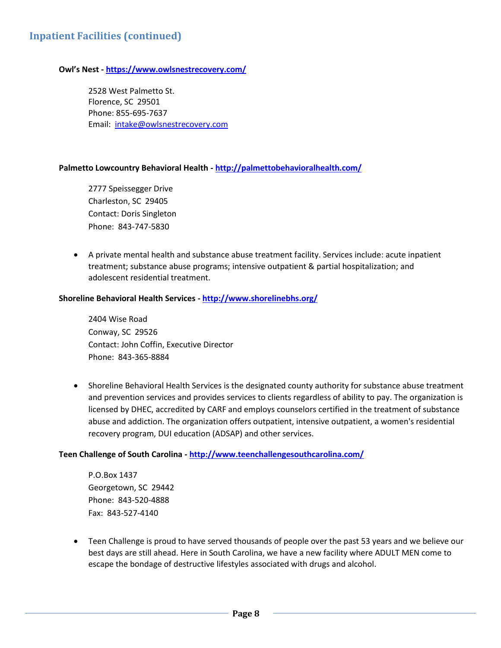#### **Owl's Nest - <https://www.owlsnestrecovery.com/>**

2528 West Palmetto St. Florence, SC 29501 Phone: 855-695-7637 Email: [intake@owlsnestrecovery.com](mailto:intake@owlsnestrecovery.com)

#### **Palmetto Lowcountry Behavioral Health - <http://palmettobehavioralhealth.com/>**

2777 Speissegger Drive Charleston, SC 29405 Contact: Doris Singleton Phone: 843-747-5830

 A private mental health and substance abuse treatment facility. Services include: acute inpatient treatment; substance abuse programs; intensive outpatient & partial hospitalization; and adolescent residential treatment.

#### **Shoreline Behavioral Health Services - <http://www.shorelinebhs.org/>**

2404 Wise Road Conway, SC 29526 Contact: John Coffin, Executive Director Phone: 843-365-8884

 Shoreline Behavioral Health Services is the designated county authority for substance abuse treatment and prevention services and provides services to clients regardless of ability to pay. The organization is licensed by DHEC, accredited by CARF and employs counselors certified in the treatment of substance abuse and addiction. The organization offers outpatient, intensive outpatient, a women's residential recovery program, DUI education (ADSAP) and other services.

#### **Teen Challenge of South Carolina - <http://www.teenchallengesouthcarolina.com/>**

P.O.Box 1437 Georgetown, SC 29442 Phone: 843-520-4888 Fax: 843-527-4140

 Teen Challenge is proud to have served thousands of people over the past 53 years and we believe our best days are still ahead. Here in South Carolina, we have a new facility where ADULT MEN come to escape the bondage of destructive lifestyles associated with drugs and alcohol.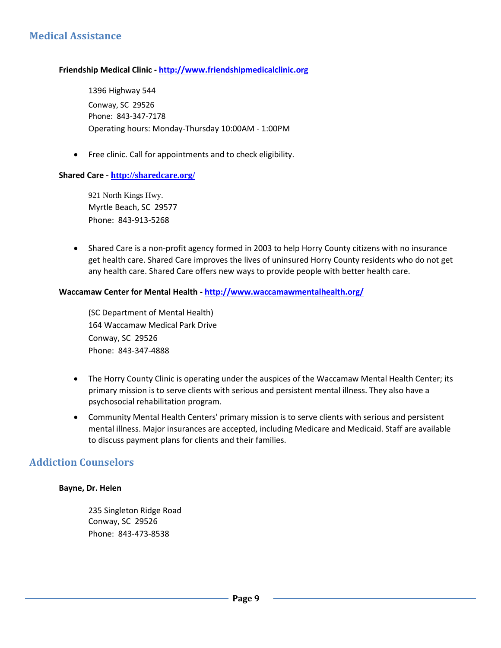# **Medical Assistance**

#### **Friendship Medical Clinic - [http://www.friendshipmedicalclinic.org](http://www.friendshipmedicalclinic.org/)**

1396 Highway 544 Conway, SC 29526 Phone: 843-347-7178 Operating hours: Monday-Thursday 10:00AM - 1:00PM

• Free clinic. Call for appointments and to check eligibility.

#### **Shared Care - <http://sharedcare.org/>**

921 North Kings Hwy. Myrtle Beach, SC 29577 Phone: 843-913-5268

• Shared Care is a non-profit agency formed in 2003 to help Horry County citizens with no insurance get health care. Shared Care improves the lives of uninsured Horry County residents who do not get any health care. Shared Care offers new ways to provide people with better health care.

#### **Waccamaw Center for Mental Health - <http://www.waccamawmentalhealth.org/>**

(SC Department of Mental Health) 164 Waccamaw Medical Park Drive Conway, SC 29526 Phone: 843-347-4888

- The Horry County Clinic is operating under the auspices of the Waccamaw Mental Health Center; its primary mission is to serve clients with serious and persistent mental illness. They also have a psychosocial rehabilitation program.
- Community Mental Health Centers' primary mission is to serve clients with serious and persistent mental illness. Major insurances are accepted, including Medicare and Medicaid. Staff are available to discuss payment plans for clients and their families.

### **Addiction Counselors**

#### **Bayne, Dr. Helen**

235 Singleton Ridge Road Conway, SC 29526 Phone: 843-473-8538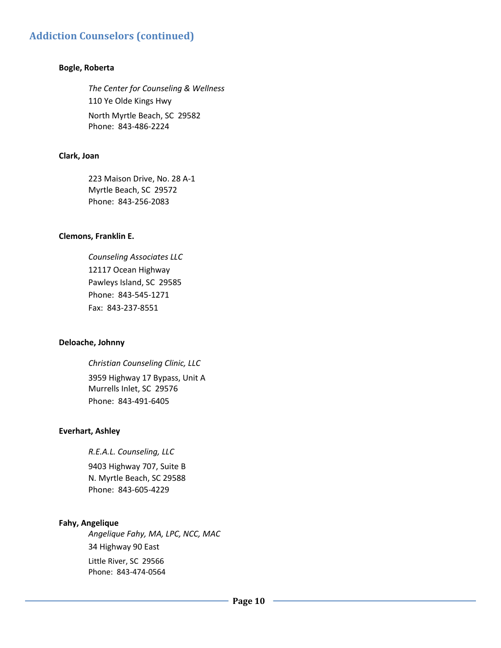#### **Bogle, Roberta**

*The Center for Counseling & Wellness* 110 Ye Olde Kings Hwy North Myrtle Beach, SC 29582 Phone: 843-486-2224

#### **Clark, Joan**

223 Maison Drive, No. 28 A-1 Myrtle Beach, SC 29572 Phone: 843-256-2083

#### **Clemons, Franklin E.**

*Counseling Associates LLC* 12117 Ocean Highway Pawleys Island, SC 29585 Phone: 843-545-1271 Fax: 843-237-8551

#### **Deloache, Johnny**

*Christian Counseling Clinic, LLC* 3959 Highway 17 Bypass, Unit A Murrells Inlet, SC 29576 Phone: 843-491-6405

#### **Everhart, Ashley**

*R.E.A.L. Counseling, LLC* 9403 Highway 707, Suite B N. Myrtle Beach, SC 29588 Phone: 843-605-4229

#### **Fahy, Angelique**

*Angelique Fahy, MA, LPC, NCC, MAC* 34 Highway 90 East Little River, SC 29566 Phone: 843-474-0564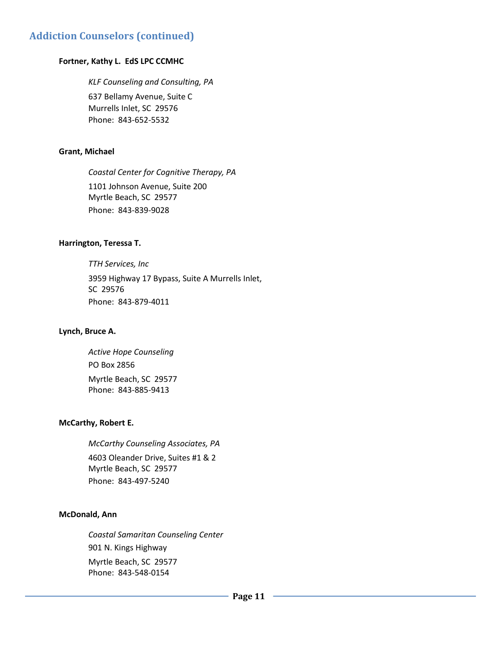#### **Fortner, Kathy L. EdS LPC CCMHC**

*KLF Counseling and Consulting, PA* 637 Bellamy Avenue, Suite C Murrells Inlet, SC 29576 Phone: 843-652-5532

#### **Grant, Michael**

*Coastal Center for Cognitive Therapy, PA*

1101 Johnson Avenue, Suite 200 Myrtle Beach, SC 29577 Phone: 843-839-9028

#### **Harrington, Teressa T.**

*TTH Services, Inc* 3959 Highway 17 Bypass, Suite A Murrells Inlet, SC 29576 Phone: 843-879-4011

#### **Lynch, Bruce A.**

*Active Hope Counseling* PO Box 2856 Myrtle Beach, SC 29577 Phone: 843-885-9413

#### **McCarthy, Robert E.**

*McCarthy Counseling Associates, PA* 4603 Oleander Drive, Suites #1 & 2 Myrtle Beach, SC 29577 Phone: 843-497-5240

#### **McDonald, Ann**

*Coastal Samaritan Counseling Center* 901 N. Kings Highway Myrtle Beach, SC 29577 Phone: 843-548-0154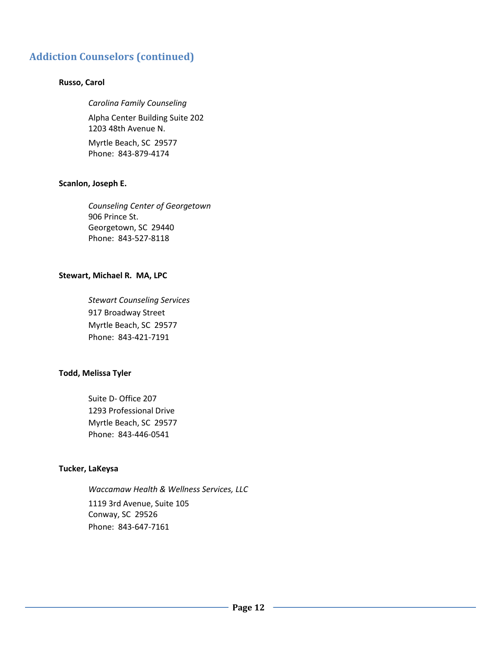#### **Russo, Carol**

#### *Carolina Family Counseling*

Alpha Center Building Suite 202 1203 48th Avenue N.

Myrtle Beach, SC 29577 Phone: 843-879-4174

#### **Scanlon, Joseph E.**

*Counseling Center of Georgetown*  906 Prince St. Georgetown, SC 29440 Phone: 843-527-8118

#### **Stewart, Michael R. MA, LPC**

*Stewart Counseling Services* 917 Broadway Street Myrtle Beach, SC 29577 Phone: 843-421-7191

#### **Todd, Melissa Tyler**

Suite D- Office 207 1293 Professional Drive Myrtle Beach, SC 29577 Phone: 843-446-0541

#### **Tucker, LaKeysa**

*Waccamaw Health & Wellness Services, LLC*

1119 3rd Avenue, Suite 105 Conway, SC 29526 Phone: 843-647-7161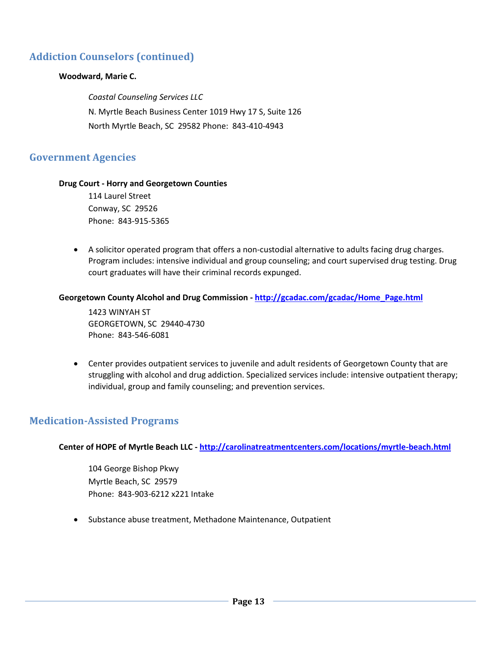#### **Woodward, Marie C.**

*Coastal Counseling Services LLC* N. Myrtle Beach Business Center 1019 Hwy 17 S, Suite 126 North Myrtle Beach, SC 29582 Phone: 843-410-4943

# **Government Agencies**

#### **Drug Court - Horry and Georgetown Counties**

114 Laurel Street Conway, SC 29526 Phone: 843-915-5365

 A solicitor operated program that offers a non-custodial alternative to adults facing drug charges. Program includes: intensive individual and group counseling; and court supervised drug testing. Drug court graduates will have their criminal records expunged.

#### **Georgetown County Alcohol and Drug Commission - [http://gcadac.com/gcadac/Home\\_Page.html](http://gcadac.com/gcadac/Home_Page.html)**

1423 WINYAH ST GEORGETOWN, SC 29440-4730 Phone: 843-546-6081

 Center provides outpatient services to juvenile and adult residents of Georgetown County that are struggling with alcohol and drug addiction. Specialized services include: intensive outpatient therapy; individual, group and family counseling; and prevention services.

# **Medication-Assisted Programs**

**Center of HOPE of Myrtle Beach LLC - <http://carolinatreatmentcenters.com/locations/myrtle-beach.html>**

104 George Bishop Pkwy Myrtle Beach, SC 29579 Phone: 843-903-6212 x221 Intake

• Substance abuse treatment, Methadone Maintenance, Outpatient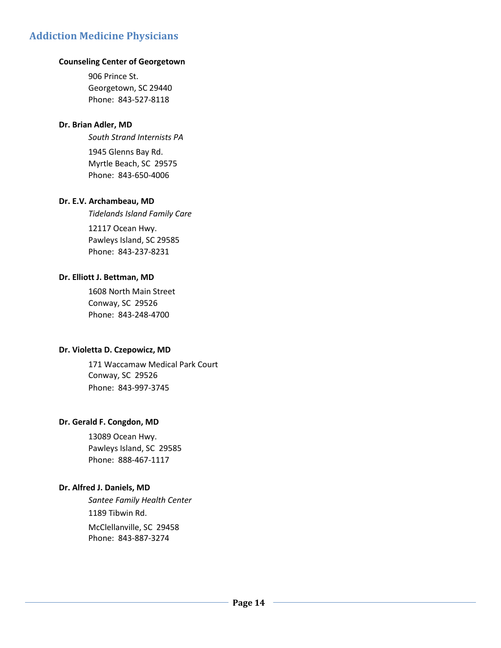# **Addiction Medicine Physicians**

#### **Counseling Center of Georgetown**

906 Prince St. Georgetown, SC 29440 Phone: 843-527-8118

#### **Dr. Brian Adler, MD**

*South Strand Internists PA*

1945 Glenns Bay Rd. Myrtle Beach, SC 29575 Phone: 843-650-4006

#### **Dr. E.V. Archambeau, MD**

*Tidelands Island Family Care*

12117 Ocean Hwy. Pawleys Island, SC 29585 Phone: 843-237-8231

#### **Dr. Elliott J. Bettman, MD**

1608 North Main Street Conway, SC 29526 Phone: 843-248-4700

#### **Dr. Violetta D. Czepowicz, MD**

171 Waccamaw Medical Park Court Conway, SC 29526 Phone: 843-997-3745

#### **Dr. Gerald F. Congdon, MD**

13089 Ocean Hwy. Pawleys Island, SC 29585 Phone: 888-467-1117

#### **Dr. Alfred J. Daniels, MD**

*Santee Family Health Center* 1189 Tibwin Rd. McClellanville, SC 29458 Phone: 843-887-3274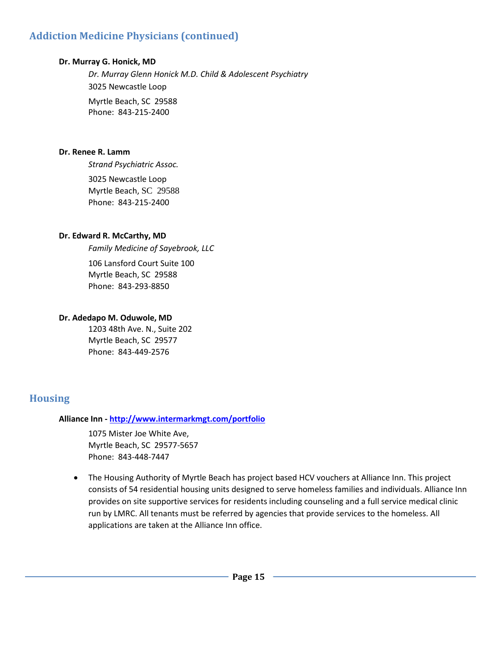# **Addiction Medicine Physicians (continued)**

#### **Dr. Murray G. Honick, MD**

*Dr. Murray Glenn Honick M.D. Child & Adolescent Psychiatry* 3025 Newcastle Loop Myrtle Beach, SC 29588 Phone: 843-215-2400

#### **Dr. Renee R. Lamm**

*Strand Psychiatric Assoc.* 3025 Newcastle Loop Myrtle Beach, SC 29588 Phone: 843-215-2400

#### **Dr. Edward R. McCarthy, MD**

*Family Medicine of Sayebrook, LLC*

106 Lansford Court Suite 100 Myrtle Beach, SC 29588 Phone: 843-293-8850

#### **Dr. Adedapo M. Oduwole, MD**

1203 48th Ave. N., Suite 202 Myrtle Beach, SC 29577 Phone: 843-449-2576

# **Housing**

#### **Alliance Inn - <http://www.intermarkmgt.com/portfolio>**

1075 Mister Joe White Ave, Myrtle Beach, SC 29577-5657 Phone: 843-448-7447

 The Housing Authority of Myrtle Beach has project based HCV vouchers at Alliance Inn. This project consists of 54 residential housing units designed to serve homeless families and individuals. Alliance Inn provides on site supportive services for residents including counseling and a full service medical clinic run by LMRC. All tenants must be referred by agencies that provide services to the homeless. All applications are taken at the Alliance Inn office.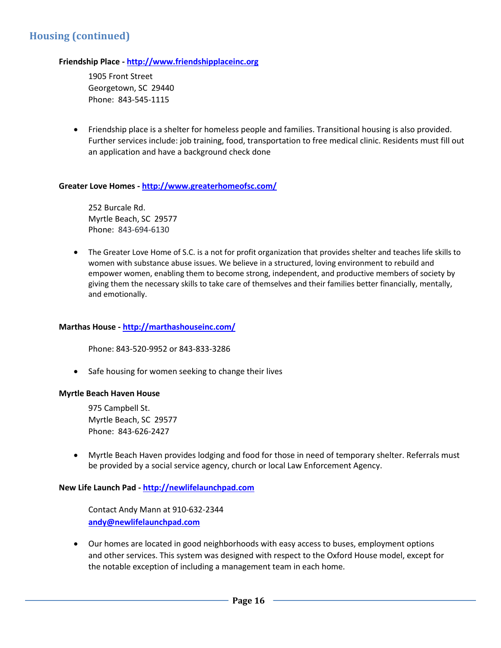# **Housing (continued)**

#### **Friendship Place - [http://www.friendshipplaceinc.org](http://www.friendshipplaceinc.org/)**

1905 Front Street Georgetown, SC 29440 Phone: 843-545-1115

 Friendship place is a shelter for homeless people and families. Transitional housing is also provided. Further services include: job training, food, transportation to free medical clinic. Residents must fill out an application and have a background check done

#### **Greater Love Homes - <http://www.greaterhomeofsc.com/>**

252 Burcale Rd. Myrtle Beach, SC 29577 Phone: 843-694-6130

 The Greater Love Home of S.C. is a not for profit organization that provides shelter and teaches life skills to women with substance abuse issues. We believe in a structured, loving environment to rebuild and empower women, enabling them to become strong, independent, and productive members of society by giving them the necessary skills to take care of themselves and their families better financially, mentally, and emotionally.

#### **Marthas House - <http://marthashouseinc.com/>**

Phone: 843-520-9952 or 843-833-3286

• Safe housing for women seeking to change their lives

#### **Myrtle Beach Haven House**

975 Campbell St. Myrtle Beach, SC 29577 Phone: 843-626-2427

 Myrtle Beach Haven provides lodging and food for those in need of temporary shelter. Referrals must be provided by a social service agency, church or local Law Enforcement Agency.

#### **New Life Launch Pad - [http://newlifelaunchpad.com](http://newlifelaunchpad.com/)**

Contact Andy Mann at 910-632-2344 **[andy@newlifelaunchpad.com](mailto:andy@newlifelaunchpad.com)**

 Our homes are located in good neighborhoods with easy access to buses, employment options and other services. This system was designed with respect to the Oxford House model, except for the notable exception of including a management team in each home.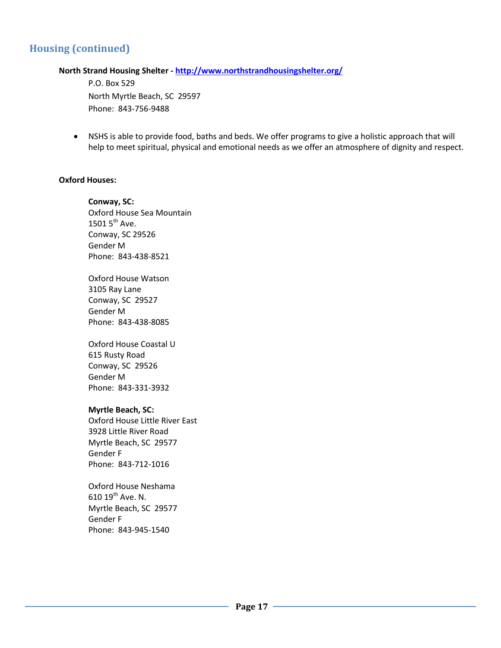# **Housing (continued)**

#### **North Strand Housing Shelter - <http://www.northstrandhousingshelter.org/>**

P.O. Box 529 North Myrtle Beach, SC 29597 Phone: 843-756-9488

 NSHS is able to provide food, baths and beds. We offer programs to give a holistic approach that will help to meet spiritual, physical and emotional needs as we offer an atmosphere of dignity and respect.

#### **Oxford Houses:**

**Conway, SC:** Oxford House Sea Mountain 1501  $5^{th}$  Ave. Conway, SC 29526 Gender M Phone: 843-438-8521

Oxford House Watson 3105 Ray Lane Conway, SC 29527 Gender M Phone: 843-438-8085

Oxford House Coastal U 615 Rusty Road Conway, SC 29526 Gender M Phone: 843-331-3932

#### **Myrtle Beach, SC:**

Oxford House Little River East 3928 Little River Road Myrtle Beach, SC 29577 Gender F Phone: 843-712-1016

Oxford House Neshama 610 19th Ave. N. Myrtle Beach, SC 29577 Gender F Phone: 843-945-1540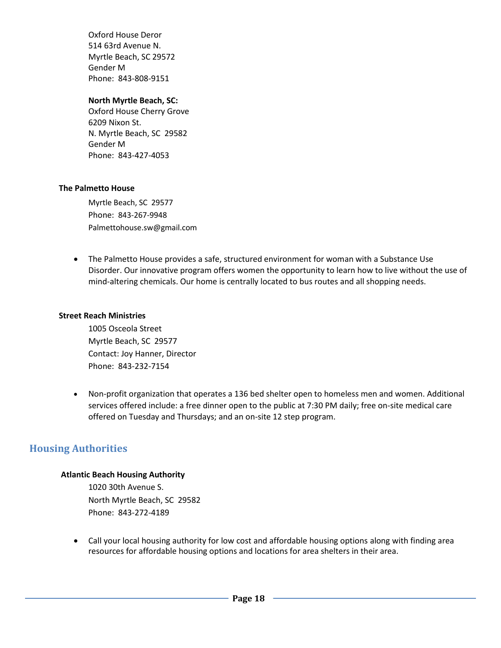Oxford House Deror 514 63rd Avenue N. Myrtle Beach, SC 29572 Gender M Phone: 843-808-9151

#### **North Myrtle Beach, SC:**

Oxford House Cherry Grove 6209 Nixon St. N. Myrtle Beach, SC 29582 Gender M Phone: 843-427-4053

#### **The Palmetto House**

Myrtle Beach, SC 29577 Phone: 843-267-9948 Palmettohouse.sw@gmail.com

 The Palmetto House provides a safe, structured environment for woman with a Substance Use Disorder. Our innovative program offers women the opportunity to learn how to live without the use of mind-altering chemicals. Our home is centrally located to bus routes and all shopping needs.

#### **Street Reach Ministries**

1005 Osceola Street Myrtle Beach, SC 29577 Contact: Joy Hanner, Director Phone: 843-232-7154

 Non-profit organization that operates a 136 bed shelter open to homeless men and women. Additional services offered include: a free dinner open to the public at 7:30 PM daily; free on-site medical care offered on Tuesday and Thursdays; and an on-site 12 step program.

# **Housing Authorities**

#### **Atlantic Beach Housing Authority**

1020 30th Avenue S. North Myrtle Beach, SC 29582 Phone: 843-272-4189

 Call your local housing authority for low cost and affordable housing options along with finding area resources for affordable housing options and locations for area shelters in their area.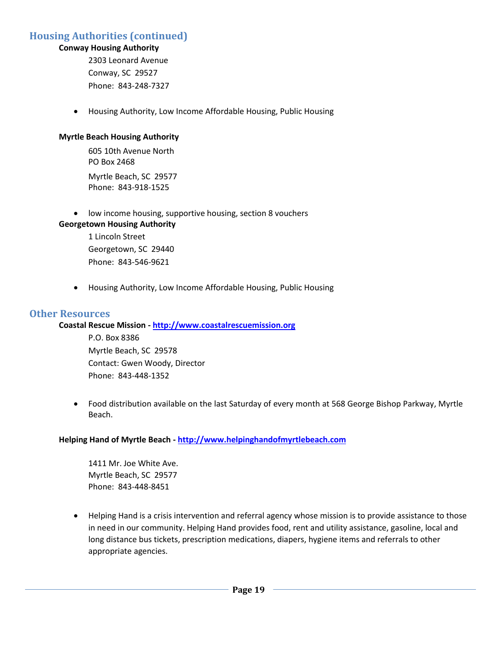# **Housing Authorities (continued)**

#### **Conway Housing Authority**

2303 Leonard Avenue Conway, SC 29527 Phone: 843-248-7327

Housing Authority, Low Income Affordable Housing, Public Housing

#### **Myrtle Beach Housing Authority**

605 10th Avenue North PO Box 2468 Myrtle Beach, SC 29577 Phone: 843-918-1525

low income housing, supportive housing, section 8 vouchers

**Georgetown Housing Authority** 1 Lincoln Street Georgetown, SC 29440 Phone: 843-546-9621

Housing Authority, Low Income Affordable Housing, Public Housing

#### **Other Resources**

#### **Coastal Rescue Mission - [http://www.coastalrescuemission.org](http://www.coastalrescuemission.org/)**

P.O. Box 8386 Myrtle Beach, SC 29578 Contact: Gwen Woody, Director Phone: 843-448-1352

 Food distribution available on the last Saturday of every month at 568 George Bishop Parkway, Myrtle Beach.

#### **Helping Hand of Myrtle Beach - [http://www.helpinghandofmyrtlebeach.com](http://www.helpinghandofmyrtlebeach.com/)**

1411 Mr. Joe White Ave. Myrtle Beach, SC 29577 Phone: 843-448-8451

 Helping Hand is a crisis intervention and referral agency whose mission is to provide assistance to those in need in our community. Helping Hand provides food, rent and utility assistance, gasoline, local and long distance bus tickets, prescription medications, diapers, hygiene items and referrals to other appropriate agencies.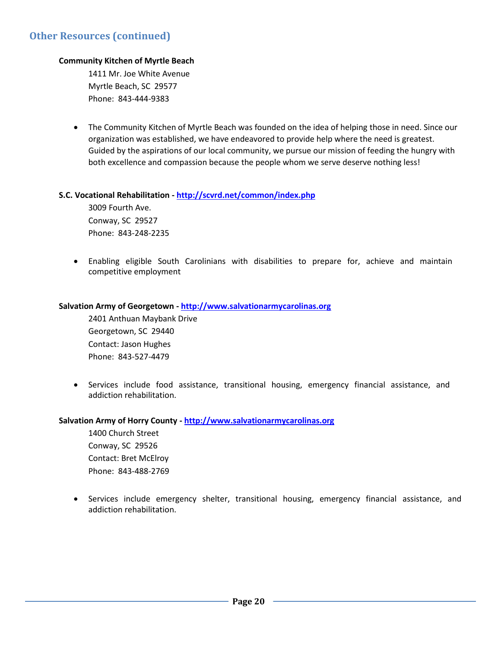#### **Community Kitchen of Myrtle Beach**

1411 Mr. Joe White Avenue Myrtle Beach, SC 29577 Phone: 843-444-9383

 The Community Kitchen of Myrtle Beach was founded on the idea of helping those in need. Since our organization was established, we have endeavored to provide help where the need is greatest. Guided by the aspirations of our local community, we pursue our mission of feeding the hungry with both excellence and compassion because the people whom we serve deserve nothing less!

#### **S.C. Vocational Rehabilitation - <http://scvrd.net/common/index.php>**

3009 Fourth Ave. Conway, SC 29527 Phone: 843-248-2235

 Enabling eligible South Carolinians with disabilities to prepare for, achieve and maintain competitive employment

#### **Salvation Army of Georgetown - [http://www.salvationarmycarolinas.org](http://www.salvationarmycarolinas.org/)**

2401 Anthuan Maybank Drive Georgetown, SC 29440 Contact: Jason Hughes Phone: 843-527-4479

 Services include food assistance, transitional housing, emergency financial assistance, and addiction rehabilitation.

#### **Salvation Army of Horry County - [http://www.salvationarmycarolinas.org](http://www.salvationarmycarolinas.org/)**

1400 Church Street Conway, SC 29526 Contact: Bret McElroy Phone: 843-488-2769

 Services include emergency shelter, transitional housing, emergency financial assistance, and addiction rehabilitation.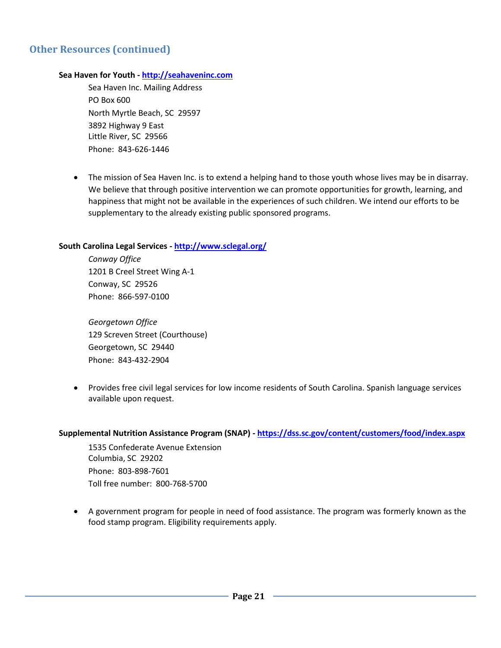# **Other Resources (continued)**

#### **Sea Haven for Youth - [http://seahaveninc.com](http://seahaveninc.com/)**

Sea Haven Inc. Mailing Address PO Box 600 North Myrtle Beach, SC 29597 3892 Highway 9 East Little River, SC 29566 Phone: 843-626-1446

 The mission of Sea Haven Inc. is to extend a helping hand to those youth whose lives may be in disarray. We believe that through positive intervention we can promote opportunities for growth, learning, and happiness that might not be available in the experiences of such children. We intend our efforts to be supplementary to the already existing public sponsored programs.

#### **South Carolina Legal Services - <http://www.sclegal.org/>**

*Conway Office* 1201 B Creel Street Wing A-1 Conway, SC 29526 Phone: 866-597-0100

*Georgetown Office* 129 Screven Street (Courthouse) Georgetown, SC 29440 Phone: 843-432-2904

 Provides free civil legal services for low income residents of South Carolina. Spanish language services available upon request.

#### **Supplemental Nutrition Assistance Program (SNAP) - <https://dss.sc.gov/content/customers/food/index.aspx>**

1535 Confederate Avenue Extension Columbia, SC 29202 Phone: 803-898-7601 Toll free number: 800-768-5700

 A government program for people in need of food assistance. The program was formerly known as the food stamp program. Eligibility requirements apply.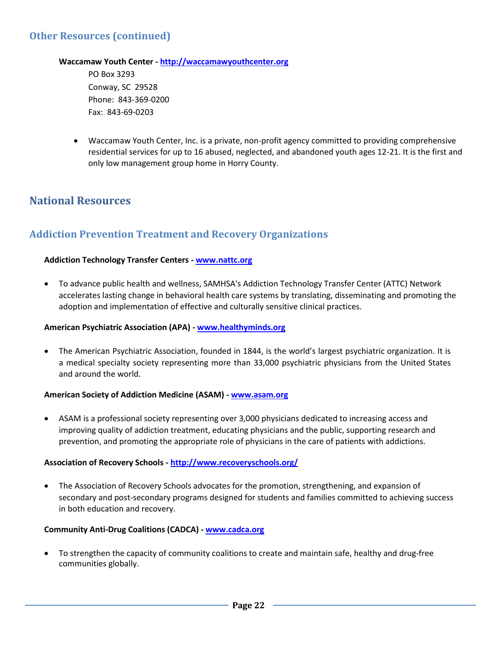#### **Waccamaw Youth Center - [http://waccamawyouthcenter.org](http://waccamawyouthcenter.org/)**

PO Box 3293 Conway, SC 29528 Phone: 843-369-0200 Fax: 843-69-0203

 Waccamaw Youth Center, Inc. is a private, non-profit agency committed to providing comprehensive residential services for up to 16 abused, neglected, and abandoned youth ages 12-21. It is the first and only low management group home in Horry County.

# **National Resources**

# **Addiction Prevention Treatment and Recovery Organizations**

#### **Addiction Technology Transfer Centers - [www.nattc.org](http://www.nattc.org/)**

 To advance public health and wellness, SAMHSA's Addiction Technology Transfer Center (ATTC) Network accelerates lasting change in behavioral health care systems by translating, disseminating and promoting the adoption and implementation of effective and culturally sensitive clinical practices.

#### **American Psychiatric Association (APA) - [www.healthyminds.org](http://www.healthyminds.org/)**

 The American Psychiatric Association, founded in 1844, is the world's largest psychiatric organization. It is a medical specialty society representing more than 33,000 psychiatric physicians from the United States and around the world.

#### **American Society of Addiction Medicine (ASAM) - [www.asam.org](http://www.asam.org/)**

 ASAM is a professional society representing over 3,000 physicians dedicated to increasing access and improving quality of addiction treatment, educating physicians and the public, supporting research and prevention, and promoting the appropriate role of physicians in the care of patients with addictions.

#### **Association of Recovery Schools - <http://www.recoveryschools.org/>**

 The Association of Recovery Schools advocates for the promotion, strengthening, and expansion of secondary and post-secondary programs designed for students and families committed to achieving success in both education and recovery.

#### **Community Anti-Drug Coalitions (CADCA) - [www.cadca.org](http://www.cadca.org/)**

 To strengthen the capacity of community coalitions to create and maintain safe, healthy and drug-free communities globally.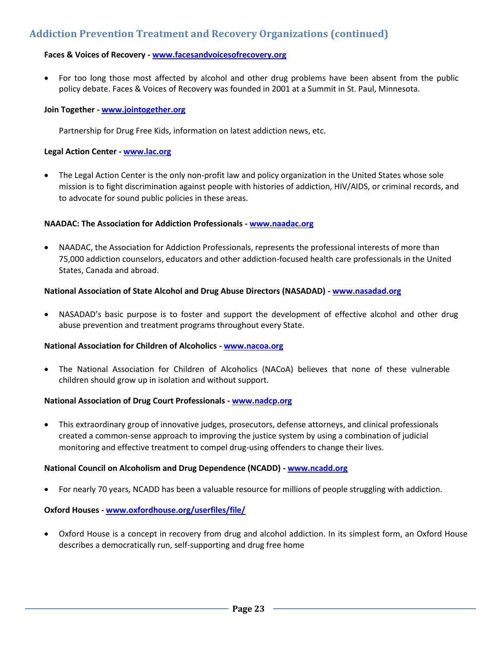# **Addiction Prevention Treatment and Recovery Organizations (continued)**

#### **Faces & Voices of Recovery - [www.facesandvoicesofrecovery.org](http://www.facesandvoicesofrecovery.org/)**

• For too long those most affected by alcohol and other drug problems have been absent from the public policy debate. Faces & Voices of Recovery was founded in 2001 at a Summit in St. Paul, Minnesota.

#### **Join Together - [www.jointogether.org](http://www.jointogether.org/)**

Partnership for Drug Free Kids, information on latest addiction news, etc.

#### **Legal Action Center - [www.lac.org](http://www.lac.org/)**

 The Legal Action Center is the only non-profit law and policy organization in the United States whose sole mission is to fight discrimination against people with histories of addiction, HIV/AIDS, or criminal records, and to advocate for sound public policies in these areas.

#### **NAADAC: The Association for Addiction Professionals - [www.naadac.org](http://www.naadac.org/)**

 NAADAC, the Association for Addiction Professionals, represents the professional interests of more than 75,000 addiction counselors, educators and other addiction-focused health care professionals in the United States, Canada and abroad.

#### **National Association of State Alcohol and Drug Abuse Directors (NASADAD) - [www.nasadad.org](http://www.nasadad.org/)**

 NASADAD's basic purpose is to foster and support the development of effective alcohol and other drug abuse prevention and treatment programs throughout every State.

#### **National Association for Children of Alcoholics - [www.nacoa.org](http://www.nacoa.org/)**

 The National Association for Children of Alcoholics (NACoA) believes that none of these vulnerable children should grow up in isolation and without support.

#### **National Association of Drug Court Professionals - [www.nadcp.org](http://www.nadcp.org/)**

 This extraordinary group of innovative judges, prosecutors, defense attorneys, and clinical professionals created a common-sense approach to improving the justice system by using a combination of judicial monitoring and effective treatment to compel drug-using offenders to change their lives.

#### **National Council on Alcoholism and Drug Dependence (NCADD) - [www.ncadd.org](http://www.ncadd.org/)**

For nearly 70 years, NCADD has been a valuable resource for millions of people struggling with addiction.

#### **Oxford Houses - [www.oxfordhouse.org/userfiles/file/](http://www.oxfordhouse.org/userfiles/file/)**

 Oxford House is a concept in recovery from drug and alcohol addiction. In its simplest form, an Oxford House describes a democratically run, self-supporting and drug free home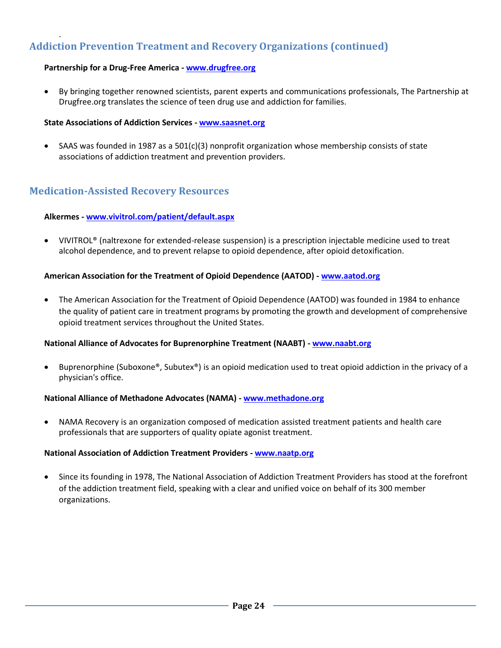# **Addiction Prevention Treatment and Recovery Organizations (continued)**

#### **Partnership for a Drug-Free America - [www.drugfree.org](http://www.drugfree.org/)**

.

 By bringing together renowned scientists, parent experts and communications professionals, The Partnership at Drugfree.org translates the science of teen drug use and addiction for families.

#### **State Associations of Addiction Services - [www.saasnet.org](http://www.saasnet.org/)**

 SAAS was founded in 1987 as a 501(c)(3) nonprofit organization whose membership consists of state associations of addiction treatment and prevention providers.

#### **Medication-Assisted Recovery Resources**

#### **Alkermes - [www.vivitrol.com/patient/default.aspx](http://www.vivitrol.com/patient/default.aspx)**

 VIVITROL® (naltrexone for extended-release suspension) is a prescription injectable medicine used to treat alcohol dependence, and to prevent relapse to opioid dependence, after opioid detoxification.

#### **American Association for the Treatment of Opioid Dependence (AATOD) - [www.aatod.org](http://www.aatod.org/)**

 The American Association for the Treatment of Opioid Dependence (AATOD) was founded in 1984 to enhance the quality of patient care in treatment programs by promoting the growth and development of comprehensive opioid treatment services throughout the United States.

#### **National Alliance of Advocates for Buprenorphine Treatment (NAABT) - [www.naabt.org](http://www.naabt.org/)**

 Buprenorphine (Suboxone®, Subutex®) is an opioid medication used to treat opioid addiction in the privacy of a physician's office.

#### **National Alliance of Methadone Advocates (NAMA) - [www.methadone.org](http://www.methadone.org/)**

 NAMA Recovery is an organization composed of medication assisted treatment patients and health care professionals that are supporters of quality opiate agonist treatment.

#### **National Association of Addiction Treatment Providers - [www.naatp.org](http://www.naatp.org/)**

 Since its founding in 1978, The National Association of Addiction Treatment Providers has stood at the forefront of the addiction treatment field, speaking with a clear and unified voice on behalf of its 300 member organizations.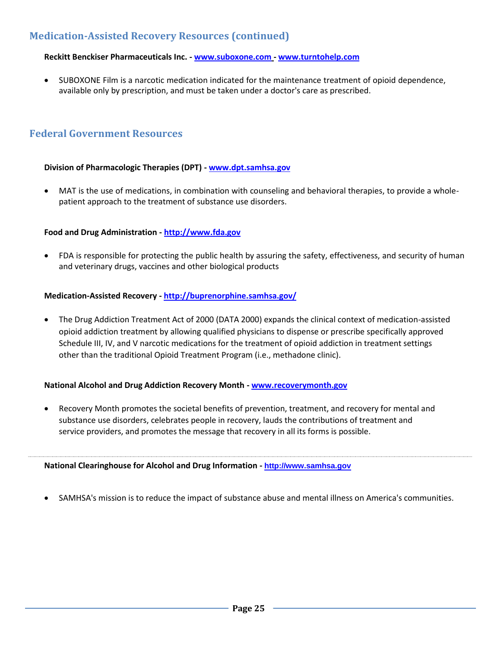# **Medication-Assisted Recovery Resources (continued)**

#### **Reckitt Benckiser Pharmaceuticals Inc. - [www.suboxone.com](http://www.suboxone.com/) - [www.turntohelp.com](http://www.turntohelp.com/)**

 SUBOXONE Film is a narcotic medication indicated for the maintenance treatment of opioid dependence, available only by prescription, and must be taken under a doctor's care as prescribed.

# **Federal Government Resources**

#### **Division of Pharmacologic Therapies (DPT) - [www.dpt.samhsa.gov](http://www.dpt.samhsa.gov/)**

 MAT is the use of medications, in combination with counseling and behavioral therapies, to provide a wholepatient approach to the treatment of substance use disorders.

#### **Food and Drug Administration - [http://www.fda.gov](http://www.fda.gov/)**

 FDA is responsible for protecting the public health by assuring the safety, effectiveness, and security of human and veterinary drugs, vaccines and other biological products

#### **Medication-Assisted Recovery - <http://buprenorphine.samhsa.gov/>**

 The Drug Addiction Treatment Act of 2000 (DATA 2000) expands the clinical context of medication-assisted opioid addiction treatment by allowing qualified physicians to dispense or prescribe specifically approved Schedule III, IV, and V narcotic medications for the treatment of opioid addiction in treatment settings other than the traditional Opioid Treatment Program (i.e., methadone clinic).

#### **National Alcohol and Drug Addiction Recovery Month - [www.recoverymonth.gov](http://www.recoverymonth.gov/)**

 Recovery Month promotes the societal benefits of prevention, treatment, and recovery for mental and substance use disorders, celebrates people in recovery, lauds the contributions of treatment and service providers, and promotes the message that recovery in all its forms is possible.

#### **National Clearinghouse for Alcohol and Drug Information - [http://www.samhsa.gov](http://www.samhsa.gov/)**

SAMHSA's mission is to reduce the impact of substance abuse and mental illness on America's communities.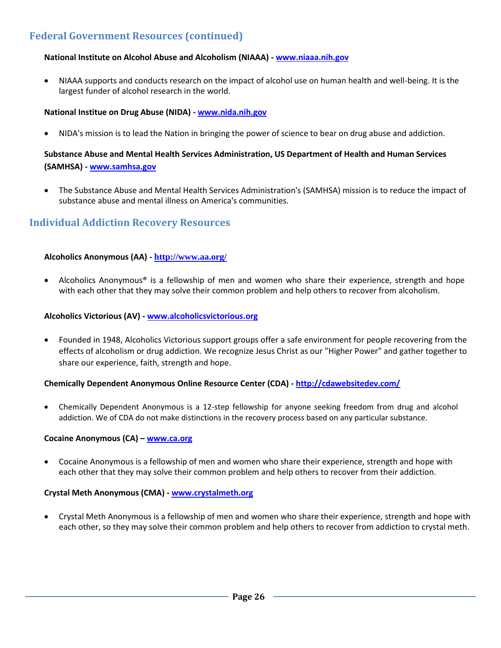# **Federal Government Resources (continued)**

#### **National Institute on Alcohol Abuse and Alcoholism (NIAAA) - [www.niaaa.nih.gov](http://www.niaaa.nih.gov/)**

 NIAAA supports and conducts research on the impact of alcohol use on human health and well-being. It is the largest funder of alcohol research in the world.

#### **National Institue on Drug Abuse (NIDA) - [www.nida.nih.gov](http://www.nida.nih.gov/)**

NIDA's mission is to lead the Nation in bringing the power of science to bear on drug abuse and addiction.

#### **Substance Abuse and Mental Health Services Administration, US Department of Health and Human Services (SAMHSA) - [www.samhsa.gov](http://www.samhsa.gov/)**

 The Substance Abuse and Mental Health Services Administration's (SAMHSA) mission is to reduce the impact of substance abuse and mental illness on America's communities.

### **Individual Addiction Recovery Resources**

#### **Alcoholics Anonymous (AA) - <http://www.aa.org/>**

 Alcoholics Anonymous® is a fellowship of men and women who share their experience, strength and hope with each other that they may solve their common problem and help others to recover from alcoholism.

#### **Alcoholics Victorious (AV) - [www.alcoholicsvictorious.org](http://www.alcoholicsvictorious.org/)**

 Founded in 1948, Alcoholics Victorious support groups offer a safe environment for people recovering from the effects of alcoholism or drug addiction. We recognize Jesus Christ as our "Higher Power" and gather together to share our experience, faith, strength and hope.

#### **Chemically Dependent Anonymous Online Resource Center (CDA) - <http://cdawebsitedev.com/>**

 Chemically Dependent Anonymous is a 12-step fellowship for anyone seeking freedom from drug and alcohol addiction. We of CDA do not make distinctions in the recovery process based on any particular substance.

#### **Cocaine Anonymous (CA) – [www.ca.org](http://www.ca.org/)**

 Cocaine Anonymous is a fellowship of men and women who share their experience, strength and hope with each other that they may solve their common problem and help others to recover from their addiction.

#### **Crystal Meth Anonymous (CMA) - [www.crystalmeth.org](http://www.crystalmeth.org/)**

 Crystal Meth Anonymous is a fellowship of men and women who share their experience, strength and hope with each other, so they may solve their common problem and help others to recover from addiction to crystal meth.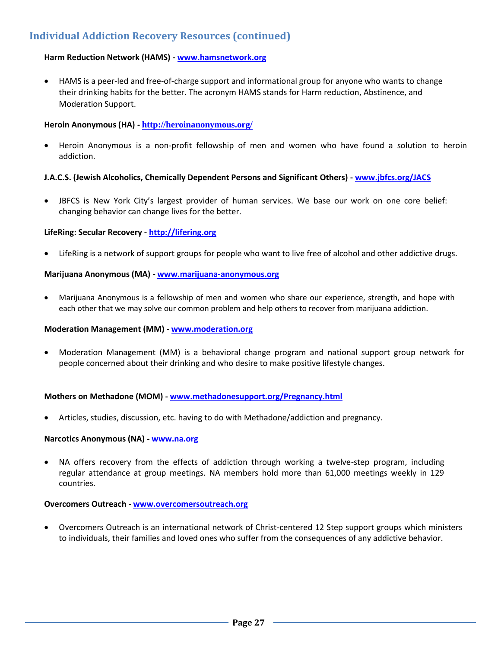# **Individual Addiction Recovery Resources (continued)**

#### **Harm Reduction Network (HAMS) - [www.hamsnetwork.org](http://www.hamsnetwork.org/)**

 HAMS is a peer-led and free-of-charge support and informational group for anyone who wants to change their drinking habits for the better. The acronym HAMS stands for Harm reduction, Abstinence, and Moderation Support.

#### **Heroin Anonymous (HA) - <http://heroinanonymous.org/>**

 Heroin Anonymous is a non-profit fellowship of men and women who have found a solution to heroin addiction.

#### **J.A.C.S. (Jewish Alcoholics, Chemically Dependent Persons and Significant Others) - [www.jbfcs.org/JACS](http://www.jbfcs.org/JACS)**

 JBFCS is New York City's largest provider of human services. We base our work on one core belief: changing behavior can change lives for the better.

#### **LifeRing: Secular Recovery - [http://lifering.org](http://lifering.org/)**

LifeRing is a network of support groups for people who want to live free of alcohol and other addictive drugs.

#### **Marijuana Anonymous (MA) - [www.marijuana-anonymous.org](http://www.marijuana-anonymous.org/)**

 Marijuana Anonymous is a fellowship of men and women who share our experience, strength, and hope with each other that we may solve our common problem and help others to recover from marijuana addiction.

#### **Moderation Management (MM) - [www.moderation.org](http://www.moderation.org/)**

 Moderation Management (MM) is a behavioral change program and national support group network for people concerned about their drinking and who desire to make positive lifestyle changes.

#### **Mothers on Methadone (MOM) - [www.methadonesupport.org/Pregnancy.html](http://www.methadonesupport.org/Pregnancy.html)**

Articles, studies, discussion, etc. having to do with Methadone/addiction and pregnancy.

#### **Narcotics Anonymous (NA) - [www.na.org](http://www.na.org/)**

 NA offers recovery from the effects of addiction through working a twelve-step program, including regular attendance at group meetings. NA members hold more than 61,000 meetings weekly in 129 countries.

#### **Overcomers Outreach - [www.overcomersoutreach.org](http://www.overcomersoutreach.org/)**

 Overcomers Outreach is an international network of Christ-centered 12 Step support groups which ministers to individuals, their families and loved ones who suffer from the consequences of any addictive behavior.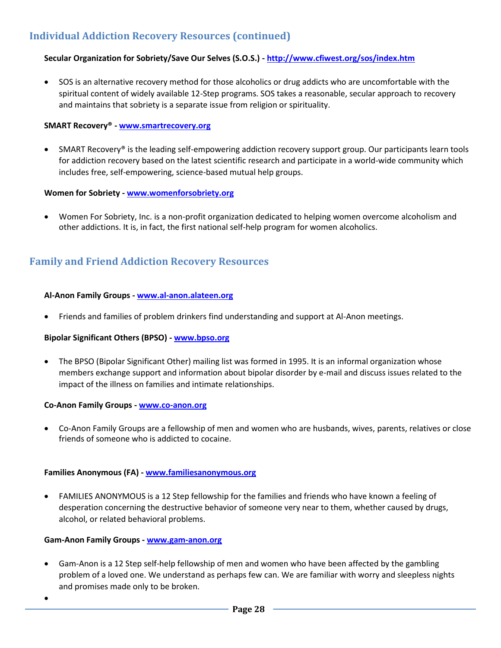# **Individual Addiction Recovery Resources (continued)**

#### **Secular Organization for Sobriety/Save Our Selves (S.O.S.) - <http://www.cfiwest.org/sos/index.htm>**

 SOS is an alternative recovery method for those alcoholics or drug addicts who are uncomfortable with the spiritual content of widely available 12-Step programs. SOS takes a reasonable, secular approach to recovery and maintains that sobriety is a separate issue from religion or spirituality.

#### **SMART Recovery® - [www.smartrecovery.org](http://www.smartrecovery.org/)**

 SMART Recovery® is the leading self-empowering addiction recovery support group. Our participants learn tools for addiction recovery based on the latest scientific research and participate in a world-wide community which includes free, self-empowering, science-based mutual help groups.

#### **Women for Sobriety - [www.womenforsobriety.org](http://www.womenforsobriety.org/)**

 Women For Sobriety, Inc. is a non-profit organization dedicated to helping women overcome alcoholism and other addictions. It is, in fact, the first national self-help program for women alcoholics.

# **Family and Friend Addiction Recovery Resources**

#### **Al-Anon Family Groups - [www.al-anon.alateen.org](http://www.al-anon.alateen.org/)**

Friends and families of problem drinkers find understanding and support at Al-Anon meetings.

#### **Bipolar Significant Others (BPSO) - [www.bpso.org](http://www.bpso.org/)**

• The BPSO (Bipolar Significant Other) mailing list was formed in 1995. It is an informal organization whose members exchange support and information about bipolar disorder by e-mail and discuss issues related to the impact of the illness on families and intimate relationships.

#### **Co-Anon Family Groups - [www.co-anon.org](http://www.co-anon.org/)**

 Co-Anon Family Groups are a fellowship of men and women who are husbands, wives, parents, relatives or close friends of someone who is addicted to cocaine.

#### **Families Anonymous (FA) - [www.familiesanonymous.org](http://www.familiesanonymous.org/)**

 FAMILIES ANONYMOUS is a 12 Step fellowship for the families and friends who have known a feeling of desperation concerning the destructive behavior of someone very near to them, whether caused by drugs, alcohol, or related behavioral problems.

#### **Gam-Anon Family Groups - [www.gam-anon.org](http://www.gam-anon.org/)**

- Gam-Anon is a 12 Step self-help fellowship of men and women who have been affected by the gambling problem of a loved one. We understand as perhaps few can. We are familiar with worry and sleepless nights and promises made only to be broken.
- $\bullet$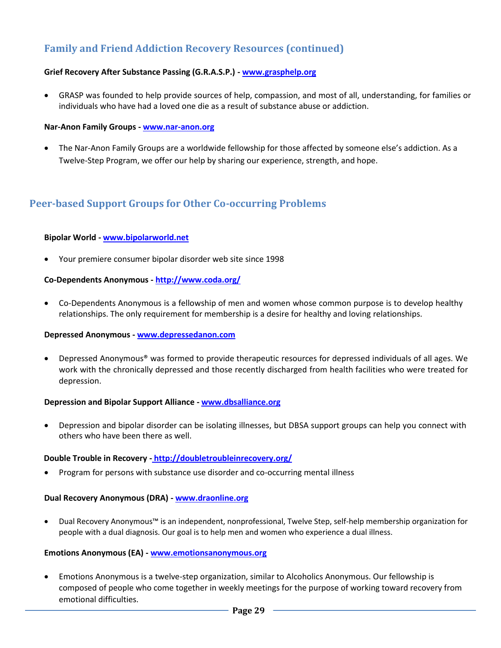# **Family and Friend Addiction Recovery Resources (continued)**

#### **Grief Recovery After Substance Passing (G.R.A.S.P.) - [www.grasphelp.org](http://www.grasphelp.org/)**

 GRASP was founded to help provide sources of help, compassion, and most of all, understanding, for families or individuals who have had a loved one die as a result of substance abuse or addiction.

#### **Nar-Anon Family Groups - [www.nar-anon.org](http://www.nar-anon.org/)**

 The Nar-Anon Family Groups are a worldwide fellowship for those affected by someone else's addiction. As a Twelve-Step Program, we offer our help by sharing our experience, strength, and hope.

# **Peer-based Support Groups for Other Co-occurring Problems**

#### **Bipolar World - [www.bipolarworld.net](http://www.bipolarworld.net/)**

Your premiere consumer bipolar disorder web site since 1998

#### **Co-Dependents Anonymous - <http://www.coda.org/>**

 Co-Dependents Anonymous is a fellowship of men and women whose common purpose is to develop healthy relationships. The only requirement for membership is a desire for healthy and loving relationships.

#### **Depressed Anonymous - [www.depressedanon.com](http://www.depressedanon.com/)**

 Depressed Anonymous® was formed to provide therapeutic resources for depressed individuals of all ages. We work with the chronically depressed and those recently discharged from health facilities who were treated for depression.

#### **Depression and Bipolar Support Alliance - [www.dbsalliance.org](http://www.dbsalliance.org/)**

 Depression and bipolar disorder can be isolating illnesses, but DBSA support groups can help you connect with others who have been there as well.

#### **Double Trouble in Recovery - <http://doubletroubleinrecovery.org/>**

Program for persons with substance use disorder and co-occurring mental illness

#### **Dual Recovery Anonymous (DRA) - [www.draonline.org](http://www.draonline.org/)**

 Dual Recovery Anonymous™ is an independent, nonprofessional, Twelve Step, self-help membership organization for people with a dual diagnosis. Our goal is to help men and women who experience a dual illness.

#### **Emotions Anonymous (EA) - [www.emotionsanonymous.org](http://www.emotionsanonymous.org/)**

 Emotions Anonymous is a twelve-step organization, similar to Alcoholics Anonymous. Our fellowship is composed of people who come together in weekly meetings for the purpose of working toward recovery from emotional difficulties.